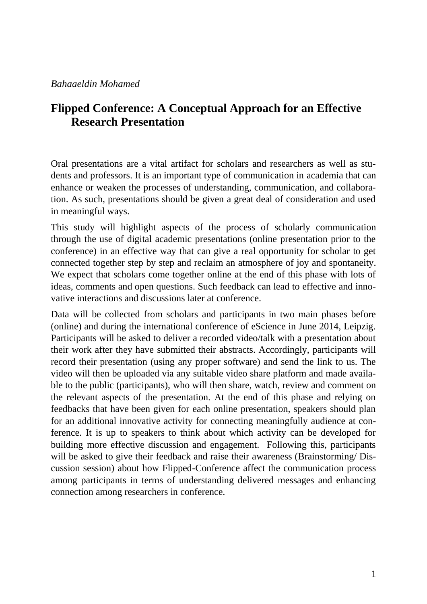## **Flipped Conference: A Conceptual Approach for an Effective Research Presentation**

Oral presentations are a vital artifact for scholars and researchers as well as students and professors. It is an important type of communication in academia that can enhance or weaken the processes of understanding, communication, and collaboration. As such, presentations should be given a great deal of consideration and used in meaningful ways.

This study will highlight aspects of the process of scholarly communication through the use of digital academic presentations (online presentation prior to the conference) in an effective way that can give a real opportunity for scholar to get connected together step by step and reclaim an atmosphere of joy and spontaneity. We expect that scholars come together online at the end of this phase with lots of ideas, comments and open questions. Such feedback can lead to effective and innovative interactions and discussions later at conference.

Data will be collected from scholars and participants in two main phases before (online) and during the international conference of eScience in June 2014, Leipzig. Participants will be asked to deliver a recorded video/talk with a presentation about their work after they have submitted their abstracts. Accordingly, participants will record their presentation (using any proper software) and send the link to us. The video will then be uploaded via any suitable video share platform and made available to the public (participants), who will then share, watch, review and comment on the relevant aspects of the presentation. At the end of this phase and relying on feedbacks that have been given for each online presentation, speakers should plan for an additional innovative activity for connecting meaningfully audience at conference. It is up to speakers to think about which activity can be developed for building more effective discussion and engagement. Following this, participants will be asked to give their feedback and raise their awareness (Brainstorming/Discussion session) about how Flipped-Conference affect the communication process among participants in terms of understanding delivered messages and enhancing connection among researchers in conference.